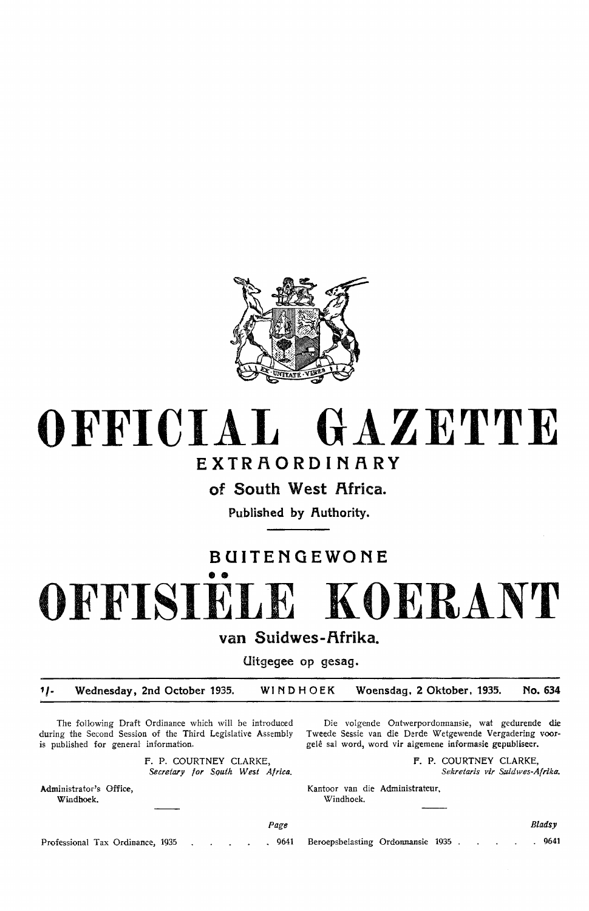

# **OFFICIAL GAZETTE**

## **EXTRAORDINARY**

of South West Africa.

Published by **Authority**.

## **BUITENGEWONE**  •• **OFFISIELE KOERANT**

**van Suidwes-f\frika.** 

**Uitgegee op gesag.** 

*1/-* **Wednesday, 2nd October 1935. WINDHOEK Woensdag, 2 Oktober, 1935. No. 634** 

The following Draft Ordinance which will be introduced during the Second Session of the Third Legislative Assembly is published for general information.

> F. P. COURTNEY CLARKE, Secretary for Squth West Africa.

Administrator's Office, Windhoek.

Die volgende Ontwerpordonnansie, wat gedurende die Tweede Sessie van die Derde Wetgewende Vergadering voorgelê sal word, word vir algemene informasie gepubliseer.

> **F. P.** COURTNEY CLARKE, Sekretaris vir Suidwes-Afrika.

Kantoor van die Administrateur, Windhoek.

Professional Tax Ordinance, 1935 . 9641 Beroepsbelasting Ordonnansie 1935 .

Page

Bladsy

. 9641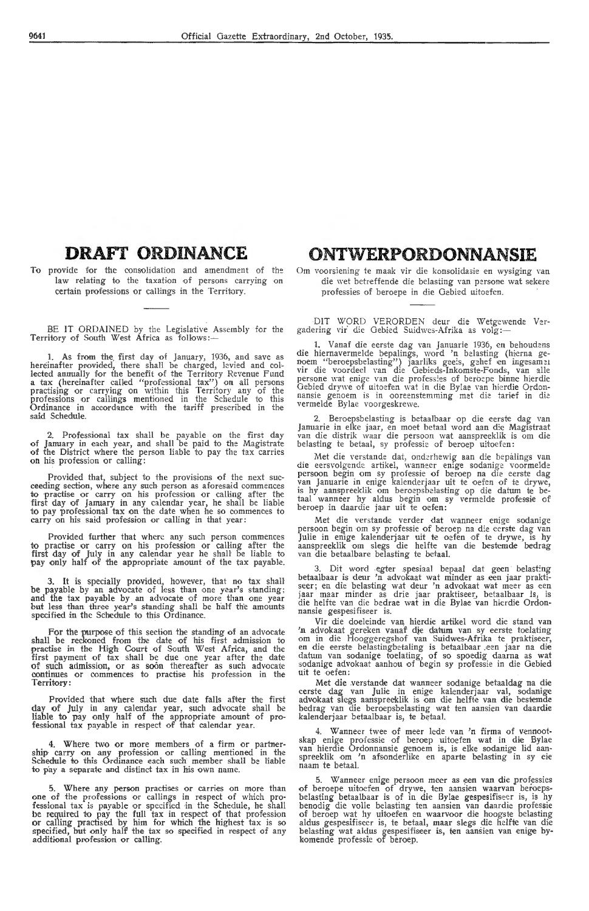### **DRAFT ORDINANCE**

To provide for the consolidation and amendment of the law relating to the taxation of persons carrying on certain professions or callings in the Territory.

BE IT ORDAINED by the Legislative Assembly for the Territory of South West Africa as follows:-

1. As from the first day of January, 1936, and save as hereinafter provided, there shall be charged, levied and collected annually for the benefit of the Territory Revenue Fund lected annually for the benefit of the Territory Revenue Fund<br>a tax (hereinafter called "professional tax") on all persons practising or carrying on within this Territory any of the professions or callings mentioned in the Schedule to this Ordinance in accordance with the tariff prescribed in the said Schedule.

2. Professional tax shall be payable on the first day of January in each year, and shall be paid to the Magistrate of the District where the person liable to pay the tax carries on his profession or calling:

Provided that, subject to the provisions of the next succeeding section, where any such person as aforesaid commences<br>to practise or carry on his profession or calling after the<br>first day of January in any calendar year, h to pay professtonal tax on the date when he so commenees to carry on his said profession or calling in that year:

Provided further that where any such person commences to practise or carry on his profession or calling after the first day of July in any calendar year he shall be liable to pay only half of the appropriate amount of the tax payable.

It is specially provided, however, that no tax shall be payable by an advocate of less than one year's standing; and the tax payable by an advocate of more than one year but less than three year's standing shall be half the amounts specified in the Schedule to this Ordinance.

For the purpose of this section the standing of an advocate shall be reckoned from the date of his first admission to practise in the High Court of South West Africa, and the first payment of tax shall be due one year after the date of such admission, or as soon thereafter as such advocate continues or commences to practise his profession in the Territory:

Provided that where such due date falls after the first day of July in any calendar year, such advocate shall be liable to pay only half of the appropriate amount of professional tax payable in respect of that calendar year.

4. Where two or more members of a firm or partnership carry on any profession or calling mentioned in the Schedule to this Ordinance each such member shall be liable to p'ay a separate and distinct tax in his own name.

5. Where any person practises or carries on more than **one** of the pmfessions or callings in pespect of which professional tax is payable or specified in the Schedule, he shall be required to pay the full tax in respect of that profession or calling practised by him for which the highest tax is so specified, but only half the tax so specified in respect of any additional profession or calling.

#### **ONTWERPORDONNANSIE**

Om voorsiening te maak vir die konsolidasie en wysiging van die wet betreffende die belasting van persone wat sekere professies of beroepe in die Oebied uitoefen.

DIT WORD VERORDEN deur die Wetgewende Vergadering vir' die Gehied Suidwes-Afrika as volg:-

1. Vanaf die eerste dag van Januarie 1936, en behoudens die hiernavermelde bepalings, word 'n belasting (hierna ge-<br>noem "beroepsbelasting") jaarliks geeis, gehef en ingesamen vir die voordeel van die Gebieds-Inkomste-Fonds, van alle<br>persone wat enige van die professies of beroepe binne hierdie Oebied drywe of uitoefen wat in die Bylae van hierdie Ordon-<br>nansie genoem is in ooreenstemming met die tarief in die nansie genoem is in ooreenstemming met die tarief in die vermelde Bylae voorgeskrewe.

2. Beroepsbelasting is betaalbaar op die eerste dag van Januarie in elke jaar, en moet betaal word aan die Magistraat van die distrik waar die persoon wat aanspreeklik is om die belasting te betaal, sy professie of beroep uitoefen:

Met die verstande dat, onderhewig aan die bepalings van die eersvolgende artikel, wanneer enige sodanige voormelde persoon begin om sy professie of beroep na die eerste dag van Januarie in enige kalenderjaar uit te oefen of te drywe, is hy aanspreeklik om beroepsbelasting op die datum te be-<br>taal wanneer hy aldus begin om sy vermelde professie of beroep in daardie jaar uit te oefen:

Met die verstande verder dat wanneer enige sodanige persoon begin om sy professie of beroep na die eerste dag van<br>Julie in enige kalenderjaar uit te oefen of te drywe, is hy aanspreeklik om slegs die helfte van die bestemde bedrag<br>van die betaalbare belasting te betaal.

3. Dit word egter .spesiaal bepaal dat geen belast:ng betaalbaar is deur 'n advokaat wat minder as een jaar praktiseer; en die belasting wat deur 'n advokaat wat meer as een<br>jaar maar minder as drie jaar praktiseer, betaalbaar is, is die helfte van die bedrae wat in die Bylae van hierdie Ordon-<br>nansie gespesifiseer is.

Vir die doeleinde van hierdie artikel word die stand van<br>'n advokaat gereken vanaf die datum van sy eerste toelating<br>om in die Hooggeregshof van Suidwes-Afrika te praktiseer,<br>en die eerste belastingbetaling is betaalbaar e datum van sodanige toelating, of so spoedig daarna as wat sodanige advokaat aanhou of begin sy professie in die Gebied uit te oefen:

Met die verstande dat wanneer sodanige betaaldag na die eerste dag van Julie in enige kalenderjaar val, sodanige advokaat slegs aanspreeklik is om die helfte van die bestemde bedrag van die beroepsbelasting wat ten aansien van daardie<br>kalenderjaar betaalbaar is, te betaal.

4. Wanneer twee of meer 1ede van 'n firma of vennootskap enige professie of beroep uitoefen wat in die Bylae van hierdie Ordonnansie genoem is, is elke sodanige lid aan- spreeklik om 'n afsonderlike en aparte belasting in sy eie naam te betaal.

5. Wanneer enige persoon meer as een van die professies of beroepe uitoefen of drywe, ten aansien waarvan beroepsbelasting betaalbaar is of in die Bylae gespesifiseer is, is hy benodig die volle belasting ten aansien van daardie professie<br>of beroep wat hy uitoefen en waarvoor die hoogste belasting aldus gespesifiseer is, te betaal, maar slegs die helfte van die belasting wat aldus gespesifiseer is, ten aansien van enige by-<br>komende professie of beroep.